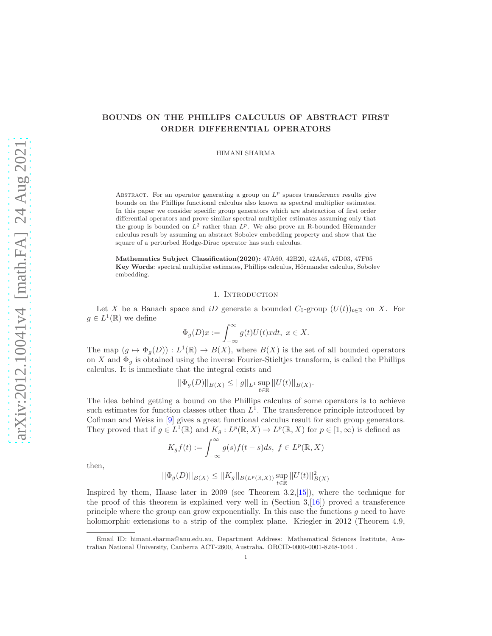# BOUNDS ON THE PHILLIPS CALCULUS OF ABSTRACT FIRST ORDER DIFFERENTIAL OPERATORS

HIMANI SHARMA

ABSTRACT. For an operator generating a group on  $L^p$  spaces transference results give bounds on the Phillips functional calculus also known as spectral multiplier estimates. In this paper we consider specific group generators which are abstraction of first order differential operators and prove similar spectral multiplier estimates assuming only that the group is bounded on  $L^2$  rather than  $L^p$ . We also prove an R-bounded Hörmander calculus result by assuming an abstract Sobolev embedding property and show that the square of a perturbed Hodge-Dirac operator has such calculus.

Mathematics Subject Classification(2020): 47A60, 42B20, 42A45, 47D03, 47F05 Key Words: spectral multiplier estimates, Phillips calculus, Hörmander calculus, Sobolev embedding.

### 1. INTRODUCTION

Let X be a Banach space and iD generate a bounded  $C_0$ -group  $(U(t))_{t\in\mathbb{R}}$  on X. For  $g \in L^1(\mathbb{R})$  we define

$$
\Phi_g(D)x := \int_{-\infty}^{\infty} g(t)U(t)xdt, \ x \in X.
$$

The map  $(g \mapsto \Phi_g(D)) : L^1(\mathbb{R}) \to B(X)$ , where  $B(X)$  is the set of all bounded operators on X and  $\Phi_g$  is obtained using the inverse Fourier-Stieltjes transform, is called the Phillips calculus. It is immediate that the integral exists and

$$
||\Phi_g(D)||_{B(X)} \le ||g||_{L^1} \sup_{t \in \mathbb{R}} ||U(t)||_{B(X)}.
$$

The idea behind getting a bound on the Phillips calculus of some operators is to achieve such estimates for function classes other than  $L^1$ . The transference principle introduced by Cofiman and Weiss in [\[9](#page-15-0)] gives a great functional calculus result for such group generators. They proved that if  $g \in L^1(\mathbb{R})$  and  $K_g: L^p(\mathbb{R}, X) \to L^p(\mathbb{R}, X)$  for  $p \in [1, \infty)$  is defined as

$$
K_g f(t) := \int_{-\infty}^{\infty} g(s) f(t-s) ds, \ f \in L^p(\mathbb{R}, X)
$$

then,

$$
||\Phi_g(D)||_{B(X)} \le ||K_g||_{B(L^p(\mathbb{R},X))} \sup_{t \in \mathbb{R}} ||U(t)||_{B(X)}^2
$$

Inspired by them, Haase later in 2009 (see Theorem 3.2,[\[15\]](#page-15-1)), where the technique for the proof of this theorem is explained very well in (Section  $3,16$ ) proved a transference principle where the group can grow exponentially. In this case the functions  $g$  need to have holomorphic extensions to a strip of the complex plane. Kriegler in 2012 (Theorem 4.9,

Email ID: himani.sharma@anu.edu.au, Department Address: Mathematical Sciences Institute, Australian National University, Canberra ACT-2600, Australia. ORCID-0000-0001-8248-1044 .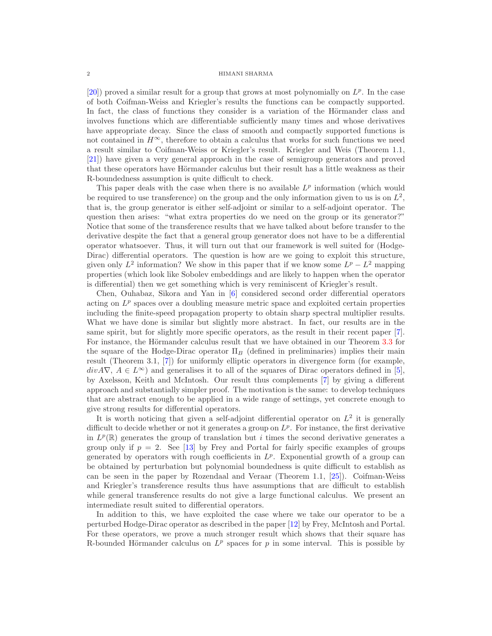$[20]$ ) proved a similar result for a group that grows at most polynomially on  $L^p$ . In the case of both Coifman-Weiss and Kriegler's results the functions can be compactly supported. In fact, the class of functions they consider is a variation of the Hörmander class and involves functions which are differentiable sufficiently many times and whose derivatives have appropriate decay. Since the class of smooth and compactly supported functions is not contained in  $H^{\infty}$ , therefore to obtain a calculus that works for such functions we need a result similar to Coifman-Weiss or Kriegler's result. Kriegler and Weis (Theorem 1.1, [\[21\]](#page-16-1)) have given a very general approach in the case of semigroup generators and proved that these operators have Hörmander calculus but their result has a little weakness as their R-boundedness assumption is quite difficult to check.

This paper deals with the case when there is no available  $L^p$  information (which would be required to use transference) on the group and the only information given to us is on  $L^2$ , that is, the group generator is either self-adjoint or similar to a self-adjoint operator. The question then arises: "what extra properties do we need on the group or its generator?" Notice that some of the transference results that we have talked about before transfer to the derivative despite the fact that a general group generator does not have to be a differential operator whatsoever. Thus, it will turn out that our framework is well suited for (Hodge-Dirac) differential operators. The question is how are we going to exploit this structure, given only  $L^2$  information? We show in this paper that if we know some  $L^p - L^2$  mapping properties (which look like Sobolev embeddings and are likely to happen when the operator is differential) then we get something which is very reminiscent of Kriegler's result.

Chen, Ouhabaz, Sikora and Yan in [\[6\]](#page-15-3) considered second order differential operators acting on  $L^p$  spaces over a doubling measure metric space and exploited certain properties including the finite-speed propagation property to obtain sharp spectral multiplier results. What we have done is similar but slightly more abstract. In fact, our results are in the same spirit, but for slightly more specific operators, as the result in their recent paper [\[7](#page-15-4)]. For instance, the Hörmander calculus result that we have obtained in our Theorem [3.3](#page-11-0) for the square of the Hodge-Dirac operator  $\Pi_B$  (defined in preliminaries) implies their main result (Theorem 3.1, [\[7](#page-15-4)]) for uniformly elliptic operators in divergence form (for example,  $divA\nabla, A \in L^{\infty}$  and generalises it to all of the squares of Dirac operators defined in [\[5](#page-15-5)], by Axelsson, Keith and McIntosh. Our result thus complements [\[7](#page-15-4)] by giving a different approach and substantially simpler proof. The motivation is the same: to develop techniques that are abstract enough to be applied in a wide range of settings, yet concrete enough to give strong results for differential operators.

It is worth noticing that given a self-adjoint differential operator on  $L^2$  it is generally difficult to decide whether or not it generates a group on  $L^p$ . For instance, the first derivative in  $L^p(\mathbb{R})$  generates the group of translation but i times the second derivative generates a group only if  $p = 2$ . See [\[13\]](#page-15-6) by Frey and Portal for fairly specific examples of groups generated by operators with rough coefficients in  $L^p$ . Exponential growth of a group can be obtained by perturbation but polynomial boundedness is quite difficult to establish as can be seen in the paper by Rozendaal and Veraar (Theorem 1.1, [\[25\]](#page-16-2)). Coifman-Weiss and Kriegler's transference results thus have assumptions that are difficult to establish while general transference results do not give a large functional calculus. We present an intermediate result suited to differential operators.

In addition to this, we have exploited the case where we take our operator to be a perturbed Hodge-Dirac operator as described in the paper [\[12\]](#page-15-7) by Frey, McIntosh and Portal. For these operators, we prove a much stronger result which shows that their square has R-bounded Hörmander calculus on  $L^p$  spaces for p in some interval. This is possible by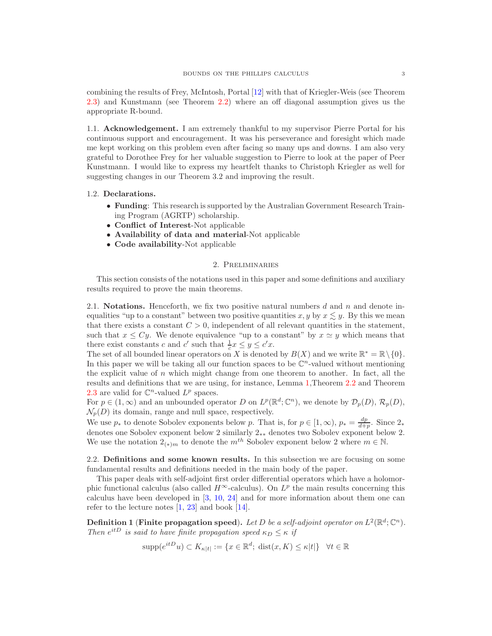combining the results of Frey, McIntosh, Portal [\[12\]](#page-15-7) with that of Kriegler-Weis (see Theorem [2.3\)](#page-5-0) and Kunstmann (see Theorem [2.2\)](#page-4-0) where an off diagonal assumption gives us the appropriate R-bound.

1.1. Acknowledgement. I am extremely thankful to my supervisor Pierre Portal for his continuous support and encouragement. It was his perseverance and foresight which made me kept working on this problem even after facing so many ups and downs. I am also very grateful to Dorothee Frey for her valuable suggestion to Pierre to look at the paper of Peer Kunstmann. I would like to express my heartfelt thanks to Christoph Kriegler as well for suggesting changes in our Theorem 3.2 and improving the result.

# 1.2. Declarations.

- Funding: This research is supported by the Australian Government Research Training Program (AGRTP) scholarship.
- Conflict of Interest-Not applicable
- Availability of data and material-Not applicable
- Code availability-Not applicable

### 2. Preliminaries

This section consists of the notations used in this paper and some definitions and auxiliary results required to prove the main theorems.

2.1. Notations. Henceforth, we fix two positive natural numbers  $d$  and  $n$  and denote inequalities "up to a constant" between two positive quantities x, y by  $x \lesssim y$ . By this we mean that there exists a constant  $C > 0$ , independent of all relevant quantities in the statement, such that  $x \le Cy$ . We denote equivalence "up to a constant" by  $x \simeq y$  which means that there exist constants c and c' such that  $\frac{1}{c}x \leq y \leq c'x$ .

The set of all bounded linear operators on X is denoted by  $B(X)$  and we write  $\mathbb{R}^* = \mathbb{R} \setminus \{0\}.$ In this paper we will be taking all our function spaces to be  $\mathbb{C}^n$ -valued without mentioning the explicit value of  $n$  which might change from one theorem to another. In fact, all the results and definitions that we are using, for instance, Lemma [1,](#page-3-0)Theorem [2.2](#page-4-0) and Theorem [2.3](#page-5-0) are valid for  $\mathbb{C}^n$ -valued  $L^p$  spaces.

For  $p \in (1,\infty)$  and an unbounded operator D on  $L^p(\mathbb{R}^d; \mathbb{C}^n)$ , we denote by  $\mathcal{D}_p(D)$ ,  $\mathcal{R}_p(D)$ ,  $\mathcal{N}_p(D)$  its domain, range and null space, respectively.

We use  $p_*$  to denote Sobolev exponents below p. That is, for  $p \in [1,\infty)$ ,  $p_* = \frac{dp}{d+p}$ . Since  $2_*$ denotes one Sobolev exponent below 2 similarly  $2_{**}$  denotes two Sobolev exponent below 2. We use the notation  $2_{(*)m}$  to denote the  $m^{th}$  Sobolev exponent below 2 where  $m \in \mathbb{N}$ .

2.2. Definitions and some known results. In this subsection we are focusing on some fundamental results and definitions needed in the main body of the paper.

This paper deals with self-adjoint first order differential operators which have a holomorphic functional calculus (also called  $H^{\infty}$ -calculus). On  $L^p$  the main results concerning this calculus have been developed in [\[3](#page-15-8), [10,](#page-15-9) [24](#page-16-3)] and for more information about them one can refer to the lecture notes  $[1, 23]$  $[1, 23]$  and book  $[14]$ .

**Definition 1** (Finite propagation speed). Let D be a self-adjoint operator on  $L^2(\mathbb{R}^d; \mathbb{C}^n)$ . Then  $e^{itD}$  is said to have finite propagation speed  $\kappa_D \leq \kappa$  if

$$
supp(e^{itD}u) \subset K_{\kappa|t|} := \{ x \in \mathbb{R}^d; \text{ dist}(x, K) \le \kappa|t| \} \quad \forall t \in \mathbb{R}
$$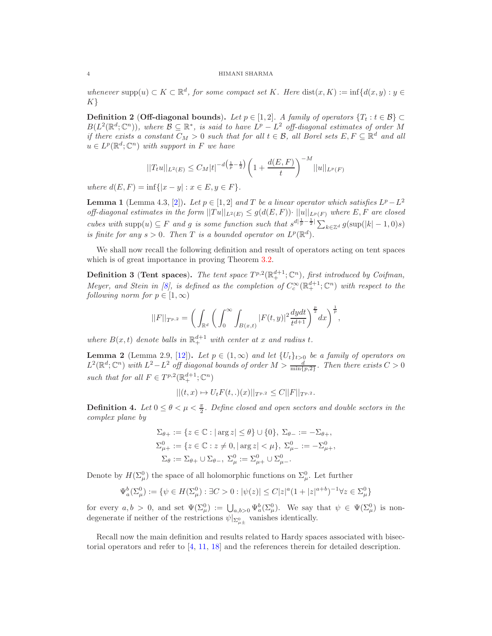whenever supp $(u) \subset K \subset \mathbb{R}^d$ , for some compact set K. Here  $dist(x, K) := inf{d(x, y) : y \in$  $K$ }

**Definition 2 (Off-diagonal bounds).** Let  $p \in [1,2]$ . A family of operators  $\{T_t : t \in \mathcal{B}\}\subset$  $B(L^2(\mathbb{R}^d;\mathbb{C}^n))$ , where  $\mathcal{B} \subseteq \mathbb{R}^*$ , is said to have  $L^p - L^2$  off-diagonal estimates of order M if there exists a constant  $C_M > 0$  such that for all  $t \in \mathcal{B}$ , all Borel sets  $E, F \subseteq \mathbb{R}^d$  and all  $u \in L^p(\mathbb{R}^d; \mathbb{C}^n)$  with support in F we have

$$
||T_t u||_{L^2(E)} \leq C_M |t|^{-d\left(\frac{1}{p}-\frac{1}{2}\right)} \left(1 + \frac{d(E, F)}{t}\right)^{-M} ||u||_{L^p(F)}
$$

where  $d(E, F) = \inf\{|x - y| : x \in E, y \in F\}.$ 

<span id="page-3-0"></span>**Lemma 1** (Lemma 4.3, [\[2\]](#page-15-12)). Let  $p \in [1, 2]$  and T be a linear operator which satisfies  $L^p - L^2$ off-diagonal estimates in the form  $||Tu||_{L^2(E)} \leq g(d(E, F)) \cdot ||u||_{L^p(F)}$  where E, F are closed cubes with supp $(u) \subseteq F$  and g is some function such that  $s^{d|\frac{1}{p}-\frac{1}{2}|} \sum_{k \in \mathbb{Z}^d} g(\sup(|k|-1,0)s)$ is finite for any  $s > 0$ . Then T is a bounded operator on  $L^p(\mathbb{R}^d)$ .

We shall now recall the following definition and result of operators acting on tent spaces which is of great importance in proving Theorem [3.2.](#page-10-0)

**Definition 3** (Tent spaces). The tent space  $T^{p,2}(\mathbb{R}^{d+1}_{+}; \mathbb{C}^{n})$ , first introduced by Coifman, Meyer, and Stein in [\[8\]](#page-15-13), is defined as the completion of  $C_c^{\infty}(\mathbb{R}^{d+1}_+;\mathbb{C}^n)$  with respect to the following norm for  $p \in [1,\infty)$ 

$$
||F||_{T^{p,2}} = \bigg(\int_{\mathbb{R}^d} \bigg(\int_0^\infty \int_{B(x,t)} |F(t,y)|^2 \frac{dydt}{t^{d+1}}\bigg)^{\frac{p}{2}} dx\bigg)^{\frac{1}{p}},
$$

where  $B(x,t)$  denote balls in  $\mathbb{R}^{d+1}_+$  with center at x and radius t.

<span id="page-3-1"></span>**Lemma 2** (Lemma 2.9, [\[12](#page-15-7)]). Let  $p \in (1,\infty)$  and let  $\{U_t\}_{t>0}$  be a family of operators on  $L^2(\mathbb{R}^d; \mathbb{C}^n)$  with  $L^2 - L^2$  off diagonal bounds of order  $M > \frac{d}{\min\{p,2\}}$ . Then there exists  $C > 0$ such that for all  $F \in T^{p,2}(\mathbb{R}^{d+1}_{+}; \mathbb{C}^n)$ 

$$
||(t,x)\mapsto U_t F(t,.)(x)||_{T^{p,2}}\leq C||F||_{T^{p,2}}.
$$

**Definition 4.** Let  $0 \le \theta < \mu < \frac{\pi}{2}$ . Define closed and open sectors and double sectors in the complex plane by

$$
\begin{aligned} \Sigma_{\theta+} &:= \{z \in \mathbb{C} : |\arg z| \leq \theta\} \cup \{0\}, \ \Sigma_{\theta-} := -\Sigma_{\theta+}, \\ \Sigma_{\mu+}^0 &:= \{z \in \mathbb{C} : z \neq 0, |\arg z| < \mu\}, \ \Sigma_{\mu-}^0 := -\Sigma_{\mu+}^0, \\ \Sigma_{\theta} &:= \Sigma_{\theta+} \cup \Sigma_{\theta-}, \ \Sigma_{\mu}^0 := \Sigma_{\mu+}^0 \cup \Sigma_{\mu-}^0. \end{aligned}
$$

Denote by  $H(\Sigma^0_\mu)$  the space of all holomorphic functions on  $\Sigma^0_\mu$ . Let further

$$
\Psi_{a}^{b}(\Sigma_{\mu}^{0}):=\{\psi\in H(\Sigma_{\mu}^{0}):\exists C>0: |\psi(z)|\leq C|z|^{a}(1+|z|^{a+b})^{-1}\forall z\in\Sigma_{\mu}^{0}\}
$$

for every  $a, b > 0$ , and set  $\Psi(\Sigma^0_\mu) := \bigcup_{a, b > 0} \Psi_a^b(\Sigma^0_\mu)$ . We say that  $\psi \in \Psi(\Sigma^0_\mu)$  is nondegenerate if neither of the restrictions  $\psi|_{\Sigma_{\mu\pm}^0}$  vanishes identically.

Recall now the main definition and results related to Hardy spaces associated with bisectorial operators and refer to [\[4](#page-15-14), [11](#page-15-15), [18](#page-16-5)] and the references therein for detailed description.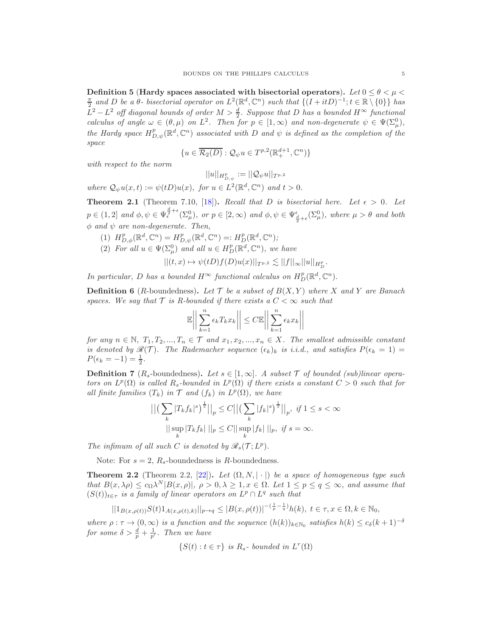<span id="page-4-1"></span>Definition 5 (Hardy spaces associated with bisectorial operators). Let  $0 \le \theta \le \mu \le$  $\frac{\pi}{2}$  and D be a  $\theta$ - bisectorial operator on  $L^2(\mathbb{R}^d, \mathbb{C}^n)$  such that  $\{(I+itD)^{-1}; t \in \mathbb{R} \setminus \{0\}\}\)$  has  $L^2 - L^2$  off diagonal bounds of order  $M > \frac{d}{2}$ . Suppose that D has a bounded  $H^{\infty}$  functional calculus of angle  $\omega \in (\theta, \mu)$  on  $L^2$ . Then for  $p \in [1, \infty)$  and non-degenerate  $\psi \in \Psi(\Sigma^0_\mu)$ , the Hardy space  $H_{D,\psi}^p(\mathbb{R}^d,\mathbb{C}^n)$  associated with D and  $\psi$  is defined as the completion of the space

$$
\{u\in\overline{\mathcal{R}_2(D)}:\mathcal{Q}_{\psi}u\in T^{p,2}(\mathbb{R}^{d+1}_+,\mathbb{C}^n)\}
$$

with respect to the norm

$$
||u||_{H^p_{D,\psi}}:=||\mathcal{Q}_{\psi} u||_{T^{p,2}}
$$

where  $Q_{\psi}u(x,t) := \psi(tD)u(x)$ , for  $u \in L^2(\mathbb{R}^d, \mathbb{C}^n)$  and  $t > 0$ .

<span id="page-4-2"></span>**Theorem 2.1** (Theorem 7.10, [\[18\]](#page-16-5)). Recall that D is bisectorial here. Let  $\epsilon > 0$ . Let  $p \in (1,2]$  and  $\phi, \psi \in \Psi_{\epsilon}^{\frac{d}{2}+\epsilon}(\Sigma_{\mu}^{0}),$  or  $p \in [2,\infty)$  and  $\phi, \psi \in \Psi_{\frac{d}{2}+\epsilon}(\Sigma_{\mu}^{0}),$  where  $\mu > \theta$  and both  $\phi$  and  $\psi$  are non-degenerate. Then,

- (1)  $H^p_{D,\phi}(\mathbb{R}^d, \mathbb{C}^n) = H^p_{D,\psi}(\mathbb{R}^d, \mathbb{C}^n) =: H^p_D(\mathbb{R}^d, \mathbb{C}^n);$
- (2) For all  $u \in \Psi(\Sigma^0_\mu)$  and all  $u \in H_D^p(\mathbb{R}^d, \mathbb{C}^n)$ , we have

$$
||(t,x)\mapsto \psi(tD)f(D)u(x)||_{T^{p,2}}\lesssim ||f||_{\infty}||u||_{H_D^p}.
$$

In particular, D has a bounded  $H^{\infty}$  functional calculus on  $H_D^p(\mathbb{R}^d, \mathbb{C}^n)$ .

**Definition 6** (*R*-boundedness). Let  $\mathcal{T}$  be a subset of  $B(X, Y)$  where X and Y are Banach spaces. We say that  $\mathcal T$  is R-bounded if there exists a  $C < \infty$  such that

> $\begin{array}{c} \end{array}$  $\mathsf{I}$  $\overline{\phantom{a}}$  $\begin{array}{c} \end{array}$

$$
\mathbb{E}\left|\left|\sum_{k=1}^{n} \epsilon_k T_k x_k\right|\right| \leq C \mathbb{E}\left|\left|\sum_{k=1}^{n} \epsilon_k x_k\right|\right|
$$

for any  $n \in \mathbb{N}$ ,  $T_1, T_2, ..., T_n \in \mathcal{T}$  and  $x_1, x_2, ..., x_n \in X$ . The smallest admissible constant is denoted by  $\mathcal{R}(\mathcal{T})$ . The Rademacher sequence  $(\epsilon_k)_k$  is i.i.d., and satisfies  $P(\epsilon_k = 1)$  $P(\epsilon_k = -1) = \frac{1}{2}.$ 

**Definition 7** ( $R_s$ -boundedness). Let  $s \in [1,\infty]$ . A subset T of bounded (sub)linear operators on  $L^p(\Omega)$  is called  $R_s$ -bounded in  $L^p(\Omega)$  if there exists a constant  $C > 0$  such that for all finite families  $(T_k)$  in  $T$  and  $(f_k)$  in  $L^p(\Omega)$ , we have

$$
\left| \left( \sum_{k} |T_{k} f_{k}|^{s} \right)^{\frac{1}{s}} \right| \right|_{p} \leq C \left| \left| \left( \sum_{k} |f_{k}|^{s} \right)^{\frac{1}{s}} \right| \right|_{p}, \text{ if } 1 \leq s < \infty
$$

$$
\left| \left| \sup_{k} |T_{k} f_{k}| \right| \right|_{p} \leq C \left| \left| \sup_{k} |f_{k}| \right| \right|_{p}, \text{ if } s = \infty.
$$

The infimum of all such C is denoted by  $\mathscr{R}_s(\mathcal{T}; L^p)$ .

Note: For  $s = 2$ ,  $R_s$ -boundedness is R-boundedness.

<span id="page-4-0"></span>**Theorem 2.2** (Theorem 2.2, [\[22\]](#page-16-6)). Let  $(\Omega, N, |\cdot|)$  be a space of homogeneous type such that  $B(x, \lambda \rho) \leq c_{\Omega} \lambda^N |B(x, \rho)|$ ,  $\rho > 0, \lambda \geq 1, x \in \Omega$ . Let  $1 \leq p \leq q \leq \infty$ , and assume that  $(S(t))_{t \in \tau}$  is a family of linear operators on  $L^p \cap L^q$  such that

$$
||1_{B(x,\rho(t))}S(t)1_{A(x,\rho(t),k)}||_{p\to q}\leq |B(x,\rho(t))|^{-(\frac{1}{p}-\frac{1}{q})}h(k),\ t\in\tau, x\in\Omega, k\in\mathbb{N}_{0},
$$

where  $\rho: \tau \to (0, \infty)$  is a function and the sequence  $(h(k))_{k \in \mathbb{N}_0}$  satisfies  $h(k) \leq c_{\delta}(k+1)^{-\delta}$ for some  $\delta > \frac{d}{p} + \frac{1}{p'}$ . Then we have

$$
\{S(t) : t \in \tau\} \text{ is } R_s \text{- bounded in } L^r(\Omega)
$$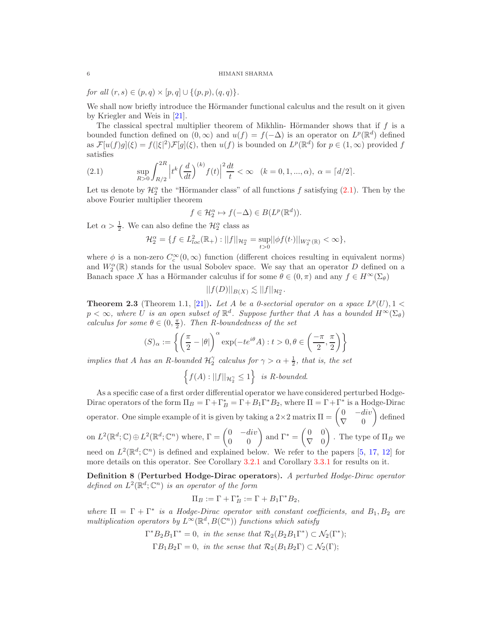for all  $(r, s) \in (p, q) \times [p, q] \cup \{(p, p), (q, q)\}.$ 

We shall now briefly introduce the Hörmander functional calculus and the result on it given by Kriegler and Weis in [\[21\]](#page-16-1).

The classical spectral multiplier theorem of Mikhlin- Hörmander shows that if  $f$  is a bounded function defined on  $(0, \infty)$  and  $u(f) = f(-\Delta)$  is an operator on  $L^p(\mathbb{R}^d)$  defined as  $\mathcal{F}[u(f)g](\xi) = f(|\xi|^2)\mathcal{F}[g](\xi)$ , then  $u(f)$  is bounded on  $L^p(\mathbb{R}^d)$  for  $p \in (1,\infty)$  provided f satisfies

<span id="page-5-1"></span>(2.1) 
$$
\sup_{R>0} \int_{R/2}^{2R} \left| t^k \left( \frac{d}{dt} \right)^{(k)} f(t) \right|^2 \frac{dt}{t} < \infty \quad (k = 0, 1, ..., \alpha), \ \alpha = \lceil d/2 \rceil.
$$

Let us denote by  $\mathcal{H}_2^{\alpha}$  the "Hörmander class" of all functions f satisfying [\(2.1\)](#page-5-1). Then by the above Fourier multiplier theorem

$$
f \in \mathcal{H}_2^{\alpha} \mapsto f(-\Delta) \in B(L^p(\mathbb{R}^d)).
$$

Let  $\alpha > \frac{1}{2}$ . We can also define the  $\mathcal{H}_2^{\alpha}$  class as

$$
\mathcal{H}_2^{\alpha} = \{ f \in L^2_{loc}(\mathbb{R}_+) : ||f||_{\mathcal{H}_2^{\alpha}} = \sup_{t > 0} ||\phi f(t \cdot)||_{W_2^{\alpha}(\mathbb{R})} < \infty \},
$$

where  $\phi$  is a non-zero  $C_c^{\infty}(0,\infty)$  function (different choices resulting in equivalent norms) and  $W_2^{\alpha}(\mathbb{R})$  stands for the usual Sobolev space. We say that an operator D defined on a Banach space X has a Hörmander calculus if for some  $\theta \in (0, \pi)$  and any  $f \in H^{\infty}(\Sigma_{\theta})$ 

$$
||f(D)||_{B(X)} \lesssim ||f||_{\mathcal{H}_2^{\alpha}}.
$$

<span id="page-5-0"></span>**Theorem 2.3** (Theorem 1.1, [\[21\]](#page-16-1)). Let A be a 0-sectorial operator on a space  $L^p(U)$ , 1 <  $p < \infty$ , where U is an open subset of  $\mathbb{R}^d$ . Suppose further that A has a bounded  $H^{\infty}(\Sigma_{\theta})$ calculus for some  $\theta \in (0, \frac{\pi}{2})$ . Then R-boundedness of the set

$$
(S)_{\alpha} := \left\{ \left( \frac{\pi}{2} - |\theta| \right)^{\alpha} \exp(-te^{i\theta} A) : t > 0, \theta \in \left( \frac{-\pi}{2}, \frac{\pi}{2} \right) \right\}
$$

implies that A has an R-bounded  $\mathcal{H}_2^{\gamma}$  calculus for  $\gamma > \alpha + \frac{1}{2}$ , that is, the set

$$
\left\{f(A):||f||_{\mathcal{H}_2^{\gamma}} \le 1\right\} \text{ is } R\text{-bounded.}
$$

As a specific case of a first order differential operator we have considered perturbed Hodge-Dirac operators of the form  $\Pi_B = \Gamma + \Gamma_B^* = \Gamma + B_1 \Gamma^* B_2$ , where  $\Pi = \Gamma + \Gamma^*$  is a Hodge-Dirac operator. One simple example of it is given by taking a  $2 \times 2$  matrix  $\Pi = \begin{pmatrix} 0 & -div \\ \nabla & 0 \end{pmatrix}$  $\nabla \quad 0$  $\sqrt{ }$ defined on  $L^2(\mathbb{R}^d; \mathbb{C}) \oplus L^2(\mathbb{R}^d; \mathbb{C}^n)$  where,  $\Gamma = \begin{pmatrix} 0 & -div \\ 0 & 0 \end{pmatrix}$  and  $\Gamma^* =$  $\begin{pmatrix} 0 & 0 \end{pmatrix}$  $\nabla \quad 0$  $\overline{ }$ . The type of  $\Pi_B$  we need on  $L^2(\mathbb{R}^d; \mathbb{C}^n)$  is defined and explained below. We refer to the papers [\[5,](#page-15-5) [17](#page-15-16), [12\]](#page-15-7) for more details on this operator. See Corollary [3.2.1](#page-11-1) and Corollary [3.3.1](#page-14-0) for results on it.

<span id="page-5-2"></span>Definition 8 (Perturbed Hodge-Dirac operators). A perturbed Hodge-Dirac operator defined on  $L^2(\mathbb{R}^d; \mathbb{C}^n)$  is an operator of the form

$$
\Pi_B := \Gamma + \Gamma_B^* := \Gamma + B_1 \Gamma^* B_2,
$$

where  $\Pi = \Gamma + \Gamma^*$  is a Hodge-Dirac operator with constant coefficients, and  $B_1, B_2$  are multiplication operators by  $L^{\infty}(\mathbb{R}^d, B(\mathbb{C}^n))$  functions which satisfy

$$
\Gamma^* B_2 B_1 \Gamma^* = 0, \text{ in the sense that } \mathcal{R}_2(B_2 B_1 \Gamma^*) \subset \mathcal{N}_2(\Gamma^*);
$$
  
 
$$
\Gamma B_1 B_2 \Gamma = 0, \text{ in the sense that } \mathcal{R}_2(B_1 B_2 \Gamma) \subset \mathcal{N}_2(\Gamma);
$$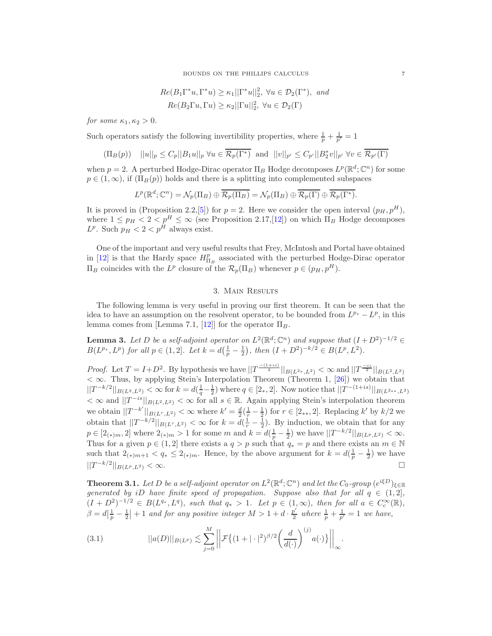BOUNDS ON THE PHILLIPS CALCULUS 7

$$
Re(B_1\Gamma^*u, \Gamma^*u) \ge \kappa_1 ||\Gamma^*u||_2^2, \ \forall u \in \mathcal{D}_2(\Gamma^*), \ and
$$
  

$$
Re(B_2\Gamma u, \Gamma u) \ge \kappa_2 ||\Gamma u||_2^2, \ \forall u \in \mathcal{D}_2(\Gamma)
$$

for some  $\kappa_1, \kappa_2 > 0$ .

Such operators satisfy the following invertibility properties, where  $\frac{1}{p} + \frac{1}{p'} = 1$ 

$$
(\Pi_B(p)) \quad ||u||_p \le C_p ||B_1 u||_p \,\forall u \in \overline{\mathcal{R}_p(\Gamma^*)} \text{ and } ||v||_{p'} \le C_{p'} ||B_2^* v||_{p'} \,\forall v \in \overline{\mathcal{R}_{p'}(\Gamma)}
$$

when  $p = 2$ . A perturbed Hodge-Dirac operator  $\Pi_B$  Hodge decomposes  $L^p(\mathbb{R}^d; \mathbb{C}^n)$  for some  $p \in (1,\infty)$ , if  $(\Pi_B(p))$  holds and there is a splitting into complemented subspaces

$$
L^p(\mathbb{R}^d; \mathbb{C}^n) = \mathcal{N}_p(\Pi_B) \oplus \overline{\mathcal{R}_p(\Pi_B)} = \mathcal{N}_p(\Pi_B) \oplus \overline{\mathcal{R}_p(\Gamma)} \oplus \overline{\mathcal{R}_p(\Gamma^*)}.
$$

It is proved in (Proposition 2.2, [\[5\]](#page-15-5)) for  $p = 2$ . Here we consider the open interval  $(p_H, p^H)$ , where  $1 \leq p_H < 2 < p^H \leq \infty$  (see Proposition 2.17, [\[12\]](#page-15-7)) on which  $\Pi_B$  Hodge decomposes  $L^p$ . Such  $p_H < 2 < p^H$  always exist.

One of the important and very useful results that Frey, McIntosh and Portal have obtained in [\[12\]](#page-15-7) is that the Hardy space  $H_{\Pi_B}^p$  associated with the perturbed Hodge-Dirac operator  $\Pi_B$  coincides with the L<sup>p</sup> closure of the R<sub>p</sub>(Π<sub>B</sub>) whenever  $p ∈ (p_H, p^H)$ .

# 3. Main Results

The following lemma is very useful in proving our first theorem. It can be seen that the idea to have an assumption on the resolvent operator, to be bounded from  $L^{p*} - L^p$ , in this lemma comes from [Lemma 7.1, [\[12\]](#page-15-7)] for the operator  $\Pi_B$ .

<span id="page-6-0"></span>**Lemma 3.** Let D be a self-adjoint operator on  $L^2(\mathbb{R}^d; \mathbb{C}^n)$  and suppose that  $(I + D^2)^{-1/2} \in$  $B(L^{p_*}, L^p)$  for all  $p \in (1, 2]$ . Let  $k = d(\frac{1}{p} - \frac{1}{2})$ , then  $(I + D^2)^{-k/2} \in B(L^p, L^2)$ .

*Proof.* Let  $T = I + D^2$ . By hypothesis we have  $||T^{-\frac{(1+i s)}{2}}||_{B(L^{2*}, L^2)} < \infty$  and  $||T^{-\frac{is}{2}}||_{B(L^2, L^2)}$  $< \infty$ . Thus, by applying Stein's Interpolation Theorem (Theorem 1, [\[26\]](#page-16-7)) we obtain that  $||T^{-k/2}||_{B(L^q,L^2)} < \infty$  for  $k = d(\frac{1}{q}-\frac{1}{2})$  where  $q \in [2_*,2]$ . Now notice that  $||T^{-(1+is)}||_{B(L^{2_*_*},L^2)}$  $<\infty$  and  $||T^{-is}||_{B(L^2,L^2)}<\infty$  for all  $s\in\mathbb{R}$ . Again applying Stein's interpolation theorem we obtain  $||T^{-k'}||_{B(L^r,L^2)} < \infty$  where  $k' = \frac{d}{2}(\frac{1}{r} - \frac{1}{2})$  for  $r \in [2_{**},2]$ . Replacing  $k'$  by  $k/2$  we obtain that  $||T^{-k/2}||_{B(L^r,L^2)} < \infty$  for  $k = d(\frac{1}{r} - \frac{1}{2})$ . By induction, we obtain that for any  $p \in [2_{(*)}m, 2]$  where  $2_{(*)}m > 1$  for some m and  $k = d(\frac{1}{p} - \frac{1}{2})$  we have  $||T^{-k/2}||_{B(L^p, L^2)} < \infty$ . Thus for a given  $p \in (1,2]$  there exists a  $q > p$  such that  $q_* = p$  and there exists an  $m \in \mathbb{N}$ such that  $2_{(*)m+1} < q_* \leq 2_{(*)m}$ . Hence, by the above argument for  $k = d(\frac{1}{p} - \frac{1}{2})$  we have  $||T^{-k/2}||_{B(L^p,L^2)} < \infty.$ 

**Theorem 3.1.** Let D be a self-adjoint operator on  $L^2(\mathbb{R}^d; \mathbb{C}^n)$  and let the  $C_0$ -group  $(e^{i\xi D})_{\xi \in \mathbb{R}}$ generated by iD have finite speed of propagation. Suppose also that for all  $q \in (1,2]$ ,  $(I + D^2)^{-1/2} \in B(L^{q_*}, L^q)$ , such that  $q_* > 1$ . Let  $p \in (1, \infty)$ , then for all  $a \in C_c^{\infty}(\mathbb{R})$ ,  $\beta = d\left|\frac{1}{p} - \frac{1}{2}\right| + 1$  and for any positive integer  $M > 1 + d \cdot \frac{p'}{2}$  $\frac{p'}{2}$  where  $\frac{1}{p} + \frac{1}{p'} = 1$  we have,

(3.1) 
$$
||a(D)||_{B(L^{p})} \lesssim \sum_{j=0}^{M} \left| \left| \mathcal{F}\left\{ (1+|\cdot|^{2})^{\beta/2} \left( \frac{d}{d(\cdot)} \right)^{(j)} a(\cdot) \right\} \right| \right|_{\infty}.
$$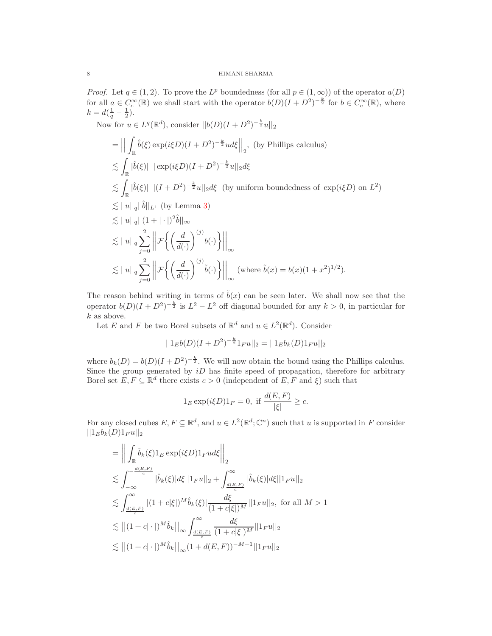*Proof.* Let  $q \in (1, 2)$ . To prove the L *Proof.* Let  $q \in (1,2)$ . To prove the  $L^p$  boundedness (for all  $p \in (1,\infty)$ ) of the operator  $a(D)$ for all  $a \in C_c^{\infty}(\mathbb{R})$  we shall start with the operator  $b(D)(I + D^2)^{-\frac{k}{2}}$  for  $b \in C_c^{\infty}(\mathbb{R})$ , where  $k = d(\frac{1}{q} - \frac{1}{2}).$ 

Now for  $u \in L^{q}(\mathbb{R}^{d})$ , consider  $||b(D)(I + D^{2})^{-\frac{k}{2}}u||_{2}$ 

$$
= \left\| \int_{\mathbb{R}} \hat{b}(\xi) \exp(i\xi D)(I + D^2)^{-\frac{k}{2}} u d\xi \right\|_2, \text{ (by Phillips calculus)}
$$
  
\n
$$
\lesssim \int_{\mathbb{R}} |\hat{b}(\xi)| \left\| \exp(i\xi D)(I + D^2)^{-\frac{k}{2}} u \right\|_2 d\xi
$$
  
\n
$$
\lesssim \int_{\mathbb{R}} |\hat{b}(\xi)| \left\| (I + D^2)^{-\frac{k}{2}} u \right\|_2 d\xi \text{ (by uniform boundedness of } \exp(i\xi D) \text{ on } L^2 \text{)}
$$
  
\n
$$
\lesssim ||u||_q ||\hat{b}||_{L^1} \text{ (by Lemma 3)}
$$
  
\n
$$
\lesssim ||u||_q ||(1 + |\cdot|)^2 \hat{b}||_{\infty}
$$
  
\n
$$
\lesssim ||u||_q \sum_{j=0}^2 \left\| \mathcal{F} \left\{ \left( \frac{d}{d(\cdot)} \right)^{(j)} b(\cdot) \right\} \right\|_{\infty}
$$
  
\n
$$
\lesssim ||u||_q \sum_{j=0}^2 \left\| \mathcal{F} \left\{ \left( \frac{d}{d(\cdot)} \right)^{(j)} \hat{b}(\cdot) \right\} \right\|_{\infty} \text{ (where } \tilde{b}(x) = b(x)(1 + x^2)^{1/2}).
$$

The reason behind writing in terms of  $\tilde{b}(x)$  can be seen later. We shall now see that the operator  $b(D)(I + D^2)^{-\frac{k}{2}}$  is  $L^2 - L^2$  off diagonal bounded for any  $k > 0$ , in particular for  $k$  as above.

Let E and F be two Borel subsets of  $\mathbb{R}^d$  and  $u \in L^2(\mathbb{R}^d)$ . Consider

$$
||1_{E}b(D)(I+D^{2})^{-\frac{k}{2}}1_{F}u||_{2}=||1_{E}b_{k}(D)1_{F}u||_{2}
$$

where  $b_k(D) = b(D)(I + D^2)^{-\frac{k}{2}}$ . We will now obtain the bound using the Phillips calculus. Since the group generated by  $iD$  has finite speed of propagation, therefore for arbitrary Borel set  $E, F \subseteq \mathbb{R}^d$  there exists  $c > 0$  (independent of  $E, F$  and  $\xi$ ) such that

$$
1_E \exp(i\xi D)1_F = 0, \text{ if } \frac{d(E, F)}{|\xi|} \ge c.
$$

For any closed cubes  $E, F \subseteq \mathbb{R}^d$ , and  $u \in L^2(\mathbb{R}^d; \mathbb{C}^n)$  such that u is supported in F consider  $||1_E b_k(D) 1_F u||_2$ 

$$
= \left\| \int_{\mathbb{R}} \hat{b}_{k}(\xi) 1_{E} \exp(i\xi D) 1_{F} u d\xi \right\|_{2}
$$
  
\n
$$
\lesssim \int_{-\infty}^{-\frac{d(E,F)}{c}} |\hat{b}_{k}(\xi)| d\xi ||1_{F} u||_{2} + \int_{\frac{d(E,F)}{c}}^{\infty} |\hat{b}_{k}(\xi)| d\xi ||1_{F} u||_{2}
$$
  
\n
$$
\lesssim \int_{\frac{d(E,F)}{c}}^{\infty} |(1+c|\xi|)^{M} \hat{b}_{k}(\xi) \frac{d\xi}{(1+c|\xi|)^{M}} ||1_{F} u||_{2}, \text{ for all } M > 1
$$
  
\n
$$
\lesssim ||(1+c| \cdot |)^{M} \hat{b}_{k}||_{\infty} \int_{\frac{d(E,F)}{c}}^{\infty} \frac{d\xi}{(1+c|\xi|)^{M}} ||1_{F} u||_{2}
$$
  
\n
$$
\lesssim ||(1+c| \cdot |)^{M} \hat{b}_{k}||_{\infty} (1+d(E,F))^{-M+1} ||1_{F} u||_{2}
$$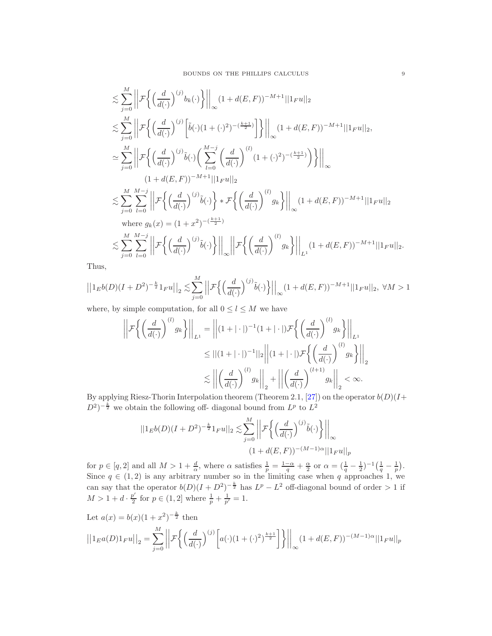$$
\lesssim \sum_{j=0}^{M} \left\| \mathcal{F} \left\{ \left( \frac{d}{d(\cdot)} \right)^{(j)} b_k(\cdot) \right\} \right\|_{\infty} (1 + d(E, F))^{-M+1} ||1_{F} u||_{2} \n\lesssim \sum_{j=0}^{M} \left\| \mathcal{F} \left\{ \left( \frac{d}{d(\cdot)} \right)^{(j)} \left[ \tilde{b}(\cdot)(1+(\cdot)^{2})^{-(\frac{k+1}{2})} \right] \right\} \right\|_{\infty} (1 + d(E, F))^{-M+1} ||1_{F} u||_{2}, \n\approx \sum_{j=0}^{M} \left\| \mathcal{F} \left\{ \left( \frac{d}{d(\cdot)} \right)^{(j)} \tilde{b}(\cdot) \left( \sum_{l=0}^{M-j} \left( \frac{d}{d(\cdot)} \right)^{(l)} (1+(\cdot)^{2})^{-(\frac{k+1}{2})} \right) \right\} \right\|_{\infty} \n(1 + d(E, F))^{-M+1} ||1_{F} u||_{2} \n\lesssim \sum_{j=0}^{M} \sum_{l=0}^{M-j} \left\| \mathcal{F} \left\{ \left( \frac{d}{d(\cdot)} \right)^{(j)} \tilde{b}(\cdot) \right\} * \mathcal{F} \left\{ \left( \frac{d}{d(\cdot)} \right)^{(l)} g_k \right\} \right\|_{\infty} (1 + d(E, F))^{-M+1} ||1_{F} u||_{2} \n\text{where } g_k(x) = (1 + x^2)^{-(\frac{k+1}{2})} \n\lesssim \sum_{j=0}^{M} \sum_{l=0}^{M-j} \left\| \mathcal{F} \left\{ \left( \frac{d}{d(\cdot)} \right)^{(j)} \tilde{b}(\cdot) \right\} \right\|_{\infty} \left\| \mathcal{F} \left\{ \left( \frac{d}{d(\cdot)} \right)^{(l)} g_k \right\} \right\|_{L^1} (1 + d(E, F))^{-M+1} ||1_{F} u||_{2}.
$$

Thus,

$$
\left| \left| 1_E b(D)(I+D^2)^{-\frac{k}{2}} 1_F u \right| \right|_2 \lesssim \sum_{j=0}^M \left| \left| \mathcal{F}\left\{ \left(\frac{d}{d(\cdot)}\right)^{(j)} \tilde{b}(\cdot) \right\} \right| \right|_\infty (1+d(E,F))^{-M+1} ||1_F u||_2, \; \forall M > 1
$$

where, by simple computation, for all  $0 \le l \le M$  we have

$$
\left| \left| \mathcal{F} \left\{ \left( \frac{d}{d(\cdot)} \right)^{(l)} g_k \right\} \right| \right|_{L^1} = \left| \left| (1 + |\cdot|)^{-1} (1 + |\cdot|) \mathcal{F} \left\{ \left( \frac{d}{d(\cdot)} \right)^{(l)} g_k \right\} \right| \right|_{L^1}
$$
  

$$
\leq || (1 + |\cdot|)^{-1} ||_2 \left| \left| (1 + |\cdot|) \mathcal{F} \left\{ \left( \frac{d}{d(\cdot)} \right)^{(l)} g_k \right\} \right| \right|_2
$$
  

$$
\lesssim \left| \left| \left( \frac{d}{d(\cdot)} \right)^{(l)} g_k \right| \right|_2 + \left| \left| \left( \frac{d}{d(\cdot)} \right)^{(l+1)} g_k \right| \right|_2 < \infty.
$$

By applying Riesz-Thorin Interpolation theorem (Theorem 2.1, [\[27\]](#page-16-8)) on the operator  $b(D)(I+$  $(D^2)^{-\frac{k}{2}}$  we obtain the following off-diagonal bound from  $L^p$  to  $L^2$ 

$$
||1_{E}b(D)(I+D^{2})^{-\frac{k}{2}}1_{F}u||_{2} \lesssim \sum_{j=0}^{M} \left| \left| \mathcal{F}\left\{ \left( \frac{d}{d(\cdot)} \right)^{(j)} \tilde{b}(\cdot) \right\} \right| \right|_{\infty}
$$
  

$$
(1+d(E,F))^{-(M-1)\alpha} ||1_{F}u||_{p}
$$

for  $p \in [q, 2]$  and all  $M > 1 + \frac{d}{\alpha}$ , where  $\alpha$  satisfies  $\frac{1}{p} = \frac{1-\alpha}{q} + \frac{\alpha}{2}$  or  $\alpha = (\frac{1}{q} - \frac{1}{2})^{-1}(\frac{1}{q} - \frac{1}{p})$ . Since  $q \in (1, 2)$  is any arbitrary number so in the limiting case when q approaches 1, we can say that the operator  $b(D)(I + D^2)^{-\frac{k}{2}}$  has  $L^p - L^2$  off-diagonal bound of order > 1 if  $M > 1 + d \cdot \frac{p'}{2}$  for  $p \in (1, 2]$  where  $\frac{1}{p} + \frac{1}{p'} = 1$ .

Let 
$$
a(x) = b(x)(1 + x^2)^{-\frac{k}{2}}
$$
 then  
\n
$$
||1_{E}a(D)1_{F}u||_{2} = \sum_{j=0}^{M} \left| \left| \mathcal{F}\left\{ \left( \frac{d}{d(\cdot)} \right)^{(j)} \left[ a(\cdot)(1+(\cdot)^{2})^{\frac{k+1}{2}} \right] \right\} \right| \right|_{\infty} (1 + d(E, F))^{-(M-1)\alpha} ||1_{F}u||_{p}
$$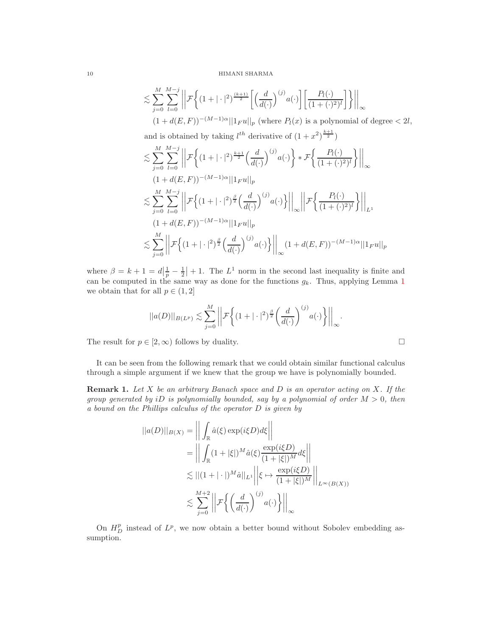$$
\lesssim \sum_{j=0}^{M} \sum_{l=0}^{M-j} \left\| \mathcal{F}\left\{ (1+|\cdot|^2)^{\frac{(k+1)}{2}} \left[ \left(\frac{d}{d(\cdot)}\right)^{(j)} a(\cdot) \right] \left[ \frac{P_l(\cdot)}{(1+(\cdot)^2)^l} \right] \right\} \right\|_{\infty} \right\| (1+d(E,F))^{-(M-1)\alpha} ||1_{F}u||_{p} \text{ (where } P_l(x) \text{ is a polynomial of degree } < 2l,
$$

and is obtained by taking  $l^{th}$  derivative of  $(1+x^2)^{\frac{k+1}{2}}$ 

$$
\lesssim \sum_{j=0}^{M} \sum_{l=0}^{M-j} \left\| \mathcal{F} \left\{ (1+|\cdot|^2)^{\frac{k+1}{2}} \left( \frac{d}{d(\cdot)} \right)^{(j)} a(\cdot) \right\} * \mathcal{F} \left\{ \frac{P_l(\cdot)}{(1+(\cdot)^2)^l} \right\} \right\|_{\infty} \n(1+d(E,F))^{-(M-1)\alpha} \|1_F u\|_p \n\lesssim \sum_{j=0}^{M} \sum_{l=0}^{M-j} \left\| \mathcal{F} \left\{ (1+|\cdot|^2)^{\frac{\beta}{2}} \left( \frac{d}{d(\cdot)} \right)^{(j)} a(\cdot) \right\} \right\|_{\infty} \left\| \mathcal{F} \left\{ \frac{P_l(\cdot)}{(1+(\cdot)^2)^l} \right\} \right\|_{L^1} \n(1+d(E,F))^{-(M-1)\alpha} \|1_F u\|_p \n\lesssim \sum_{j=0}^{M} \left\| \mathcal{F} \left\{ (1+|\cdot|^2)^{\frac{\beta}{2}} \left( \frac{d}{d(\cdot)} \right)^{(j)} a(\cdot) \right\} \right\|_{\infty} (1+d(E,F))^{-(M-1)\alpha} \|1_F u\|_p
$$

where  $\beta = k + 1 = d\left|\frac{1}{p} - \frac{1}{2}\right| + 1$ . The  $L^1$  norm in the second last inequality is finite and can be computed in the same way as done for the functions  $g_k$ . Thus, applying Lemma [1](#page-3-0) we obtain that for all  $p \in (1, 2]$ 

$$
||a(D)||_{B(L^p)} \lesssim \sum_{j=0}^M \left|\left|\mathcal{F}\left\{(1+|\cdot|^2)^{\frac{\beta}{2}} \left(\frac{d}{d(\cdot)}\right)^{(j)} a(\cdot)\right\}\right|\right|_{\infty}.
$$

The result for  $p \in [2, \infty)$  follows by duality.

It can be seen from the following remark that we could obtain similar functional calculus through a simple argument if we knew that the group we have is polynomially bounded.

**Remark 1.** Let X be an arbitrary Banach space and D is an operator acting on X. If the group generated by iD is polynomially bounded, say by a polynomial of order  $M > 0$ , then a bound on the Phillips calculus of the operator D is given by

$$
||a(D)||_{B(X)} = \left\| \int_{\mathbb{R}} \hat{a}(\xi) \exp(i\xi D) d\xi \right\|
$$
  
= 
$$
\left\| \int_{\mathbb{R}} (1 + |\xi|)^M \hat{a}(\xi) \frac{\exp(i\xi D)}{(1 + |\xi|)^M} d\xi \right\|
$$
  

$$
\lesssim ||(1 + |\cdot|)^M \hat{a}||_{L^1} \left\| \xi \mapsto \frac{\exp(i\xi D)}{(1 + |\xi|)^M} \right\|_{L^{\infty}(B(X))}
$$
  

$$
\lesssim \sum_{j=0}^{M+2} \left\| \mathcal{F} \left\{ \left( \frac{d}{d(\cdot)} \right)^{(j)} a(\cdot) \right\} \right\|_{\infty}
$$

On  $H_D^p$  instead of  $L^p$ , we now obtain a better bound without Sobolev embedding assumption.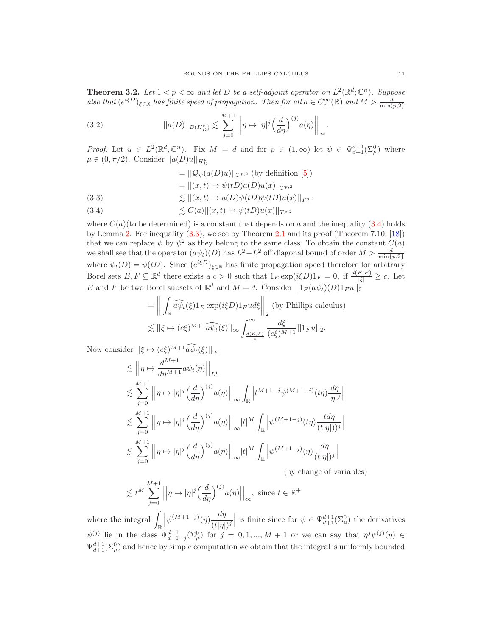<span id="page-10-0"></span>**Theorem 3.2.** Let  $1 < p < \infty$  and let D be a self-adjoint operator on  $L^2(\mathbb{R}^d; \mathbb{C}^n)$ . Suppose also that  $(e^{i\xi D})_{\xi \in \mathbb{R}}$  has finite speed of propagation. Then for all  $a \in C_c^{\infty}(\mathbb{R})$  and  $M > \frac{d}{\min(p, 2)}$ 

(3.2) 
$$
||a(D)||_{B(H_D^p)} \lesssim \sum_{j=0}^{M+1} \left| \left| \eta \mapsto |\eta|^j \left( \frac{d}{d\eta} \right)^{(j)} a(\eta) \right| \right|_{\infty}.
$$

*Proof.* Let  $u \in L^2(\mathbb{R}^d, \mathbb{C}^n)$ . Fix  $M = d$  and for  $p \in (1, \infty)$  let  $\psi \in \Psi_{d+1}^{d+1}(\Sigma_\mu^0)$  where  $\mu \in (0, \pi/2)$ . Consider  $||a(D)u||_{H_D^p}$ 

$$
= ||Q_{\psi}(a(D)u)||_{T^{p,2}} \text{ (by definition [5])}
$$

$$
= ||(x,t) \mapsto \psi(tD)a(D)u(x)||_{T^{p,2}}
$$

- <span id="page-10-2"></span>(3.3)  $\lesssim ||(x, t) \mapsto a(D)\psi(tD)\psi(tD)u(x)||_{T^{p,2}}$
- <span id="page-10-1"></span>(3.4)  $\leq C(a) ||(x, t) \mapsto \psi(tD)u(x)||_{T^{p,2}}$

where  $C(a)$  (to be determined) is a constant that depends on a and the inequality [\(3.4\)](#page-10-1) holds by Lemma [2.](#page-3-1) For inequality [\(3.3\)](#page-10-2), we see by Theorem [2.1](#page-4-2) and its proof (Theorem 7.10, [\[18\]](#page-16-5)) that we can replace  $\psi$  by  $\psi^2$  as they belong to the same class. To obtain the constant  $C(a)$ we shall see that the operator  $(a\psi_t)(D)$  has  $L^2 - L^2$  off diagonal bound of order  $M > \frac{d}{\min\{L\}}$  $\min\{p,2\}$ where  $\psi_t(D) = \psi(tD)$ . Since  $(e^{i\xi D})_{\xi \in \mathbb{R}}$  has finite propagation speed therefore for arbitrary Borel sets  $E, F \subseteq \mathbb{R}^d$  there exists a  $c > 0$  such that  $1_E \exp(i\xi D)1_F = 0$ , if  $\frac{d(E, F)}{|\xi|} \geq c$ . Let E and F be two Borel subsets of  $\mathbb{R}^d$  and  $M = d$ . Consider  $||1_E(a\psi_t)(D)1_F u||_2$ 

$$
= \left\| \int_{\mathbb{R}} \widehat{a\psi_t}(\xi) 1_E \exp(i\xi D) 1_F u d\xi \right\|_2 \text{ (by Phillips calculus)}
$$
  

$$
\lesssim ||\xi \mapsto (c\xi)^{M+1} \widehat{a\psi_t}(\xi) ||_{\infty} \int_{\frac{d(E,F)}{c}}^{\infty} \frac{d\xi}{(c\xi)^{M+1}} ||1_F u||_2.
$$

Now consider  $\|\xi \mapsto (c\xi)^{M+1} a \psi_t(\xi)\|_{\infty}$ 

$$
\leq \left\| \eta \mapsto \frac{d^{M+1}}{d\eta^{M+1}} a\psi_t(\eta) \right\|_{L^1}
$$
  
\n
$$
\leq \sum_{j=0}^{M+1} \left\| \eta \mapsto |\eta|^j \left( \frac{d}{d\eta} \right)^{(j)} a(\eta) \right\|_{\infty} \int_{\mathbb{R}} \left| t^{M+1-j} \psi^{(M+1-j)}(t\eta) \frac{d\eta}{|\eta|^j} \right|
$$
  
\n
$$
\leq \sum_{j=0}^{M+1} \left\| \eta \mapsto |\eta|^j \left( \frac{d}{d\eta} \right)^{(j)} a(\eta) \right\|_{\infty} |t|^M \int_{\mathbb{R}} \left| \psi^{(M+1-j)}(t\eta) \frac{d\eta}{(t|\eta|)^j} \right|
$$
  
\n
$$
\leq \sum_{j=0}^{M+1} \left\| \eta \mapsto |\eta|^j \left( \frac{d}{d\eta} \right)^{(j)} a(\eta) \right\|_{\infty} |t|^M \int_{\mathbb{R}} \left| \psi^{(M+1-j)}(\eta) \frac{d\eta}{(t|\eta|)^j} \right|
$$

(by change of variables)

$$
\lesssim t^M \sum_{j=0}^{M+1} \left| \left| \eta \mapsto |\eta|^j \left( \frac{d}{d\eta} \right)^{(j)} a(\eta) \right| \right|_{\infty}, \text{ since } t \in \mathbb{R}^+
$$

where the integral  $\int_{\mathbb{R}}$  $\left|\psi^{(M+1-j)}(\eta)\frac{d\eta}{(t|\eta|)}\right|$  $(t|\eta|)^j$ is finite since for  $\psi \in \Psi_{d+1}^{d+1}(\Sigma_{\mu}^0)$  the derivatives  $\psi^{(j)}$  lie in the class  $\Psi_{d+1-j}^{d+1}(\Sigma_\mu^0)$  for  $j = 0, 1, ..., M + 1$  or we can say that  $\eta^j \psi^{(j)}(\eta) \in$  $\Psi_{d+1}^{d+1}(\Sigma_\mu^0)$  and hence by simple computation we obtain that the integral is uniformly bounded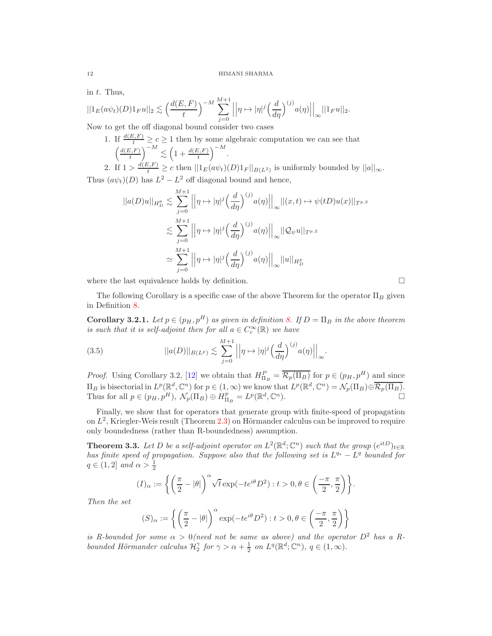in t. Thus,

$$
||1_E(a\psi_t)(D)1_Fu||_2 \lesssim \left(\frac{d(E,F)}{t}\right)^{-M} \sum_{j=0}^{M+1} \left|\left|\eta \mapsto |\eta|^j \left(\frac{d}{d\eta}\right)^{(j)} a(\eta)\right|\right|_{\infty} ||1_Fu||_2.
$$

Now to get the off diagonal bound consider two cases

1. If  $\frac{d(E,F)}{t} \geq c \geq 1$  then by some algebraic computation we can see that  $\int d(E,F)$ t  $\Big)^{-M} \lesssim \Big(1 + \frac{d(E,F)}{t} \Big)$  $\Big)^{-M}$ .

2. If  $1 > \frac{d(E, F)}{t} \ge c$  then  $||1_E(a\psi_t)(D)1_F||_{B(L^2)}$  is uniformly bounded by  $||a||_{\infty}$ . Thus  $(a\psi_t)(D)$  has  $L^2 - L^2$  off diagonal bound and hence,

$$
||a(D)u||_{H_D^p} \lesssim \sum_{j=0}^{M+1} ||\eta \mapsto |\eta|^j \left(\frac{d}{d\eta}\right)^{(j)} a(\eta)||_{\infty} ||(x, t) \mapsto \psi(tD)u(x)||_{T^{p,2}}
$$
  

$$
\lesssim \sum_{j=0}^{M+1} ||\eta \mapsto |\eta|^j \left(\frac{d}{d\eta}\right)^{(j)} a(\eta)||_{\infty} ||Q_{\psi}u||_{T^{p,2}}
$$
  

$$
\simeq \sum_{j=0}^{M+1} ||\eta \mapsto |\eta|^j \left(\frac{d}{d\eta}\right)^{(j)} a(\eta)||_{\infty} ||u||_{H_D^p}
$$

where the last equivalence holds by definition.  $\Box$ 

The following Corollary is a specific case of the above Theorem for the operator  $\Pi_B$  given in Definition [8.](#page-5-2)

<span id="page-11-1"></span>**Corollary 3.2.1.** Let  $p \in (p_H, p^H)$  as given in definition [8.](#page-5-2) If  $D = \Pi_B$  in the above theorem is such that it is self-adjoint then for all  $a \in C_c^{\infty}(\mathbb{R})$  we have

(3.5) 
$$
||a(D)||_{B(L^p)} \lesssim \sum_{j=0}^{M+1} \left| \left| \eta \mapsto |\eta|^j \left( \frac{d}{d\eta} \right)^{(j)} a(\eta) \right| \right|_{\infty}.
$$

*Proof.* Using Corollary 3.2, [\[12](#page-15-7)] we obtain that  $H_{\Pi_B}^P = \overline{\mathcal{R}_p(\Pi_B)}$  for  $p \in (p_H, p^H)$  and since  $\Pi_B$  is bisectorial in  $L^p(\mathbb{R}^d, \mathbb{C}^n)$  for  $p \in (1, \infty)$  we know that  $L^p(\mathbb{R}^d, \mathbb{C}^n) = \mathcal{N}_p(\Pi_B) \oplus \overline{\mathcal{R}_p(\Pi_B)}$ . Thus for all  $p \in (p_H, p^H)$ ,  $\mathcal{N}_p(\Pi_B) \oplus H_{\Pi_B}^p = L^p(\mathbb{R}^d, \mathbb{C}^n)$ .

Finally, we show that for operators that generate group with finite-speed of propagation on  $L^2$ , Kriegler-Weis result (Theorem [2.3\)](#page-5-0) on Hörmander calculus can be improved to require only boundedness (rather than R-boundedness) assumption.

<span id="page-11-0"></span>**Theorem 3.3.** Let D be a self-adjoint operator on  $L^2(\mathbb{R}^d; \mathbb{C}^n)$  such that the group  $(e^{itD})_{t \in \mathbb{R}}$ has finite speed of propagation. Suppose also that the following set is  $L^{q_*} - L^q$  bounded for  $q \in (1,2]$  and  $\alpha > \frac{1}{2}$ 

$$
(I)_\alpha:=\bigg\{\bigg(\frac{\pi}{2}-|\theta|\bigg)^\alpha\sqrt{t}\exp(-te^{i\theta}D^2):t>0,\theta\in\bigg(\frac{-\pi}{2},\frac{\pi}{2}\bigg)\bigg\}.
$$

Then the set

$$
(S)_{\alpha} := \left\{ \left( \frac{\pi}{2} - |\theta| \right)^{\alpha} \exp(-te^{i\theta} D^2) : t > 0, \theta \in \left( \frac{-\pi}{2}, \frac{\pi}{2} \right) \right\}
$$

is R-bounded for some  $\alpha > 0$  (need not be same as above) and the operator  $D^2$  has a Rbounded Hörmander calculus  $\mathcal{H}_2^{\gamma}$  for  $\gamma > \alpha + \frac{1}{2}$  on  $L^q(\mathbb{R}^d; \mathbb{C}^n)$ ,  $q \in (1, \infty)$ .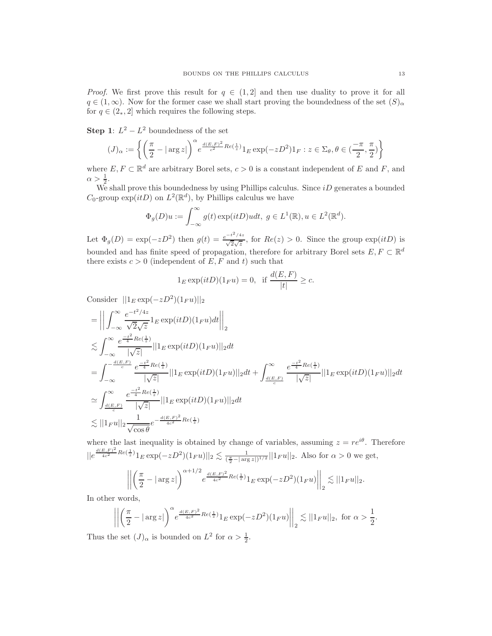*Proof.* We first prove this result for  $q \in (1,2]$  and then use duality to prove it for all  $q \in (1,\infty)$ . Now for the former case we shall start proving the boundedness of the set  $(S)_{\alpha}$ for  $q \in (2_*, 2]$  which requires the following steps.

**Step 1**:  $L^2 - L^2$  boundedness of the set

$$
(J)_{\alpha}:=\left\{\left(\frac{\pi}{2}-|\arg z|\right)^{\alpha}e^{\frac{d(E,F)^2}{c^2}Re(\frac{1}{z})}1_E\exp(-zD^2)1_F:z\in\Sigma_\theta,\theta\in(\frac{-\pi}{2},\frac{\pi}{2})\right\}
$$

where  $E, F \subset \mathbb{R}^d$  are arbitrary Borel sets,  $c > 0$  is a constant independent of E and F, and  $\alpha > \frac{1}{2}$ .

 $\frac{2}{2}$ .<br>We shall prove this boundedness by using Phillips calculus. Since *iD* generates a bounded  $C_0$ -group  $\exp(itD)$  on  $L^2(\mathbb{R}^d)$ , by Phillips calculus we have

$$
\Phi_g(D)u := \int_{-\infty}^{\infty} g(t) \exp(itD)u dt, \ g \in L^1(\mathbb{R}), u \in L^2(\mathbb{R}^d).
$$

Let  $\Phi_g(D) = \exp(-zD^2)$  then  $g(t) = \frac{e^{-t^2/4z}}{\sqrt{2\sqrt{z}}}$  $\sqrt{\frac{1}{2\sqrt{z}}},$  for  $Re(z) > 0$ . Since the group  $exp(itD)$  is bounded and has finite speed of propagation, therefore for arbitrary Borel sets  $E, F \subset \mathbb{R}^d$ there exists  $c > 0$  (independent of E, F and t) such that

$$
1_E \exp(itD)(1_F u) = 0
$$
, if  $\frac{d(E, F)}{|t|} \ge c$ .

Consider  $||1_E \exp(-zD^2)(1_F u)||_2$ 

$$
\begin{split}\n&= \left\| \int_{-\infty}^{\infty} \frac{e^{-t^2/4z}}{\sqrt{2}\sqrt{z}} 1_E \exp(itD)(1_F u) dt \right\|_2 \\
&\lesssim \int_{-\infty}^{\infty} \frac{e^{-\frac{t^2}{4}Re(\frac{1}{z})}}{|\sqrt{z}|} ||1_E \exp(itD)(1_F u)||_2 dt \\
&= \int_{-\infty}^{-\frac{d(E,F)}{c}} \frac{e^{-\frac{t^2}{4}Re(\frac{1}{z})}}{|\sqrt{z}|} ||1_E \exp(itD)(1_F u)||_2 dt + \int_{\frac{d(E,F)}{c}}^{\infty} \frac{e^{-\frac{t^2}{4}Re(\frac{1}{z})}}{|\sqrt{z}|} ||1_E \exp(itD)(1_F u)||_2 dt \\
&\approx \int_{\frac{d(E,F)}{c}}^{\infty} \frac{e^{-\frac{t^2}{4}Re(\frac{1}{z})}}{|\sqrt{z}|} ||1_E \exp(itD)(1_F u)||_2 dt \\
&\lesssim ||1_F u||_2 \frac{1}{\sqrt{\cos \theta}} e^{-\frac{d(E,F)^2}{4c^2}Re(\frac{1}{z})}\n\end{split}
$$

where the last inequality is obtained by change of variables, assuming  $z = re^{i\theta}$ . Therefore  $||e^{\frac{d(E,F)^2}{4c^2}Re(\frac{1}{z})}1_E \exp(-zD^2)(1_F u)||_2 \lesssim \frac{1}{(\frac{\pi}{2}-|\arg z|)^{1/2}}||1_F u||_2$ . Also for  $\alpha > 0$  we get,

$$
\left\| \left( \frac{\pi}{2} - |\arg z| \right)^{\alpha + 1/2} e^{\frac{d(E, F)^2}{4c^2} Re(\frac{1}{z})} 1_E \exp(-z D^2) (1_F u) \right\|_2 \lesssim ||1_F u||_2.
$$

In other words,

$$
\left\| \left( \frac{\pi}{2} - |\arg z| \right)^{\alpha} e^{\frac{d(E, F)^2}{4c^2} Re(\frac{1}{z})} 1_E \exp(-zD^2) (1_F u) \right\|_2 \lesssim ||1_F u||_2, \text{ for } \alpha > \frac{1}{2}.
$$

Thus the set  $(J)_{\alpha}$  is bounded on  $L^2$  for  $\alpha > \frac{1}{2}$ .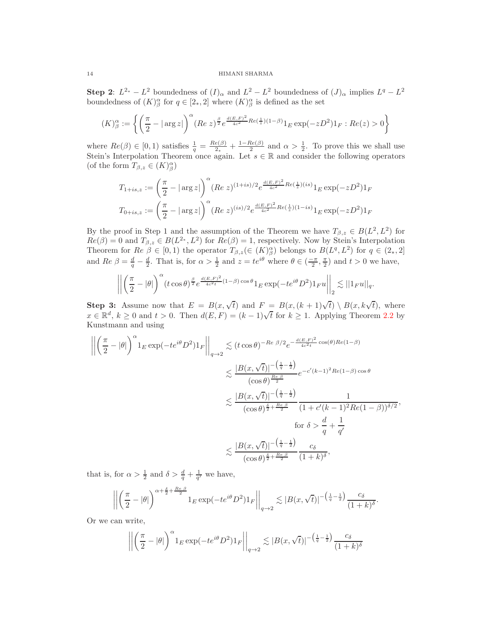**Step 2**:  $L^{2*} - L^2$  boundedness of  $(I)_{\alpha}$  and  $L^2 - L^2$  boundedness of  $(J)_{\alpha}$  implies  $L^q - L^2$ boundedness of  $(K)^\alpha_\beta$  for  $q \in [2_*,2]$  where  $(K)^\alpha_\beta$  is defined as the set

$$
(K)^\alpha_\beta := \left\{ \left( \frac{\pi}{2} - |\arg z| \right)^\alpha (Re\ z)^{\frac{\beta}{2}} e^{\frac{d(E,F)^2}{4c^2} Re(\frac{1}{z})(1-\beta)} 1_E \exp(-zD^2) 1_F : Re(z) > 0 \right\}
$$

where  $Re(\beta) \in [0, 1)$  satisfies  $\frac{1}{q} = \frac{Re(\beta)}{2*}$  $\frac{e(\beta)}{2_*} + \frac{1-Re(\beta)}{2}$  and  $\alpha > \frac{1}{2}$ . To prove this we shall use Stein's Interpolation Theorem once again. Let  $s \in \mathbb{R}$  and consider the following operators (of the form  $T_{\beta,z}\in (K)_\beta^\alpha$ )

$$
T_{1+is,z} := \left(\frac{\pi}{2} - |\arg z|\right)^{\alpha} (Re\ z)^{(1+is)/2} e^{\frac{d(E,F)^2}{4c^2} Re(\frac{1}{z})(is)} 1_E \exp(-zD^2) 1_F
$$
  

$$
T_{0+is,z} := \left(\frac{\pi}{2} - |\arg z|\right)^{\alpha} (Re\ z)^{(is)/2} e^{\frac{d(E,F)^2}{4c^2} Re(\frac{1}{z})(1-is)} 1_E \exp(-zD^2) 1_F
$$

By the proof in Step 1 and the assumption of the Theorem we have  $T_{\beta,z} \in B(L^2, L^2)$  for  $Re(\beta) = 0$  and  $T_{\beta, z} \in B(L^{2*}, L^{2})$  for  $Re(\beta) = 1$ , respectively. Now by Stein's Interpolation Theorem for  $Re \beta \in [0,1)$  the operator  $T_{\beta,z}(\in (K)^\alpha_\beta)$  belongs to  $B(L^q,L^2)$  for  $q \in (2_*,2]$ and  $Re \beta = \frac{d}{q} - \frac{d}{2}$ . That is, for  $\alpha > \frac{1}{2}$  and  $z = te^{i\theta}$  where  $\theta \in (\frac{-\pi}{2}, \frac{\pi}{2})$  and  $t > 0$  we have,

$$
\left|\left|\left(\frac{\pi}{2}-|\theta|\right)^{\alpha}\left(t\cos\theta\right)^{\frac{\beta}{2}}e^{\frac{d(E,F)^2}{4c^2t}(1-\beta)\cos\theta}1_E\exp(-te^{i\theta}D^2)1_F u\right|\right|_2\lesssim ||1_F u||_q.
$$

Step 3: Assume now that  $E = B(x, \sqrt{t})$  and  $F = B(x, (k+1)\sqrt{t}) \setminus B(x, k\sqrt{t})$ , where  $x \in \mathbb{R}^d$ ,  $k \ge 0$  and  $t > 0$ . Then  $d(E, F) = (k-1)\sqrt{t}$  for  $k \ge 1$ . Applying Theorem [2.2](#page-4-0) by Kunstmann and using

$$
\left| \left| \left( \frac{\pi}{2} - |\theta| \right)^{\alpha} 1_E \exp(-te^{i\theta} D^2) 1_F \right| \right|_{q \to 2} \lesssim (t \cos \theta)^{-Re \beta/2} e^{-\frac{d(E, F)^2}{4c^2 t} \cos(\theta) Re(1-\beta)}
$$
  

$$
\leq \frac{|B(x, \sqrt{t})|^{-\left(\frac{1}{q} - \frac{1}{2}\right)}}{(\cos \theta)^{\frac{Re \beta}{2}}} e^{-c'(k-1)^2 Re(1-\beta) \cos \theta}
$$
  

$$
\leq \frac{|B(x, \sqrt{t})|^{-\left(\frac{1}{q} - \frac{1}{2}\right)}}{(\cos \theta)^{\frac{\delta}{2} + \frac{Re \beta}{2}}} \frac{1}{(1 + c'(k-1)^2 Re(1-\beta))^{\delta/2}},
$$
  
for  $\delta > \frac{d}{q} + \frac{1}{q'}$   

$$
\leq \frac{|B(x, \sqrt{t})|^{-\left(\frac{1}{q} - \frac{1}{2}\right)}}{(\cos \theta)^{\frac{\delta}{2} + \frac{Re \beta}{2}}} \frac{c_{\delta}}{(1 + k)^{\delta}},
$$

that is, for  $\alpha > \frac{1}{2}$  and  $\delta > \frac{d}{q} + \frac{1}{q'}$  we have,

$$
\left\| \left( \frac{\pi}{2} - |\theta| \right)^{\alpha + \frac{\delta}{2} + \frac{Re \beta}{2}} 1_E \exp(-te^{i\theta} D^2) 1_F \right\|_{q \to 2} \lesssim |B(x, \sqrt{t})|^{-\left(\frac{1}{q} - \frac{1}{2}\right)} \frac{c_{\delta}}{(1 + k)^{\delta}}.
$$

Or we can write,

$$
\left\| \left( \frac{\pi}{2} - |\theta| \right)^{\alpha} 1_E \exp(-te^{i\theta} D^2) 1_F \right\|_{q \to 2} \lesssim |B(x, \sqrt{t})|^{-\left(\frac{1}{q} - \frac{1}{2}\right)} \frac{c_{\delta}}{(1 + k)^{\delta}}
$$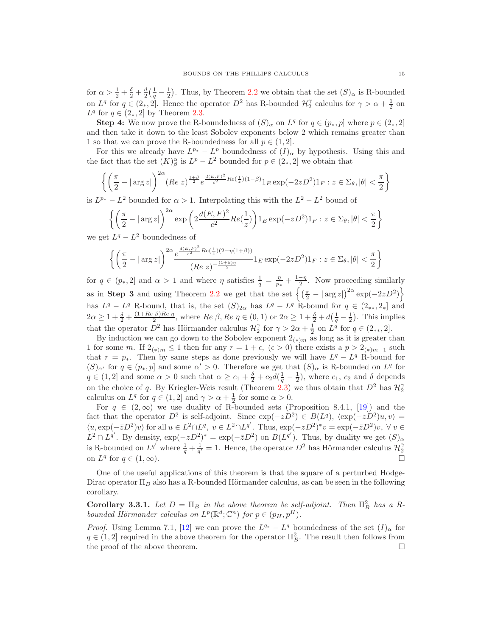for  $\alpha > \frac{1}{2} + \frac{\delta}{2} + \frac{d}{2}(\frac{1}{q} - \frac{1}{2})$ . Thus, by Theorem [2.2](#page-4-0) we obtain that the set  $(S)_{\alpha}$  is R-bounded on  $L^q$  for  $q \in (2_*, 2]$ . Hence the operator  $D^2$  has R-bounded  $\mathcal{H}_2^{\gamma}$  calculus for  $\gamma > \alpha + \frac{1}{2}$  on  $L^q$  for  $q \in (2_*, 2]$  by Theorem [2.3.](#page-5-0)

**Step 4:** We now prove the R-boundedness of  $(S)_{\alpha}$  on  $L^q$  for  $q \in (p_*, p]$  where  $p \in (2_*, 2]$ and then take it down to the least Sobolev exponents below 2 which remains greater than 1 so that we can prove the R-boundedness for all  $p \in (1, 2]$ .

For this we already have  $L^{p*} - L^p$  boundedness of  $(I)_{\alpha}$  by hypothesis. Using this and the fact that the set  $(K)_{\beta}^{\alpha}$  is  $L^p - L^2$  bounded for  $p \in (2, 2]$  we obtain that

$$
\left\{ \left( \frac{\pi}{2} - |\arg z| \right)^{2\alpha} (Re\ z)^{\frac{1+\beta}{2}} e^{\frac{d(E, F)^2}{c^2} Re(\frac{1}{z})(1-\beta)} 1_E \exp(-2zD^2) 1_F : z \in \Sigma_\theta, |\theta| < \frac{\pi}{2} \right\}
$$

is  $L^{p*} - L^2$  bounded for  $\alpha > 1$ . Interpolating this with the  $L^2 - L^2$  bound of

$$
\left\{ \left( \frac{\pi}{2} - |\arg z| \right)^{2\alpha} \exp\left( 2 \frac{d(E, F)^2}{c^2} Re(\frac{1}{z}) \right) \mathbf{1}_E \exp(-zD^2) \mathbf{1}_F : z \in \Sigma_\theta, |\theta| < \frac{\pi}{2} \right\}
$$

we get  $L^q - L^2$  boundedness of

$$
\left\{ \left( \frac{\pi}{2} - |\arg z| \right)^{2\alpha} \frac{e^{\frac{d(E, F)^2}{c^2} Re(\frac{1}{z})(2 - \eta(1+\beta))}}{(Re z)^{-\frac{(1+\beta)\eta}{2}}} 1_E \exp(-2zD^2) 1_F : z \in \Sigma_{\theta}, |\theta| < \frac{\pi}{2} \right\}
$$

for  $q \in (p_*, 2]$  and  $\alpha > 1$  and where  $\eta$  satisfies  $\frac{1}{q} = \frac{\eta}{p_*} + \frac{1-\eta}{2}$ . Now proceeding similarly as in Step 3 and using Theorem [2.2](#page-4-0) we get that the set  $\left\{ \left( \frac{\pi}{2} - |\arg z| \right)^{2\alpha} \exp(-2zD^2) \right\}$ has  $L^q - L^q$  R-bound, that is, the set  $(S)_{2\alpha}$  has  $L^q - L^q$  R-bound for  $q \in (2_{**}, 2_{*}]$  and  $2\alpha \geq 1 + \frac{\delta}{2} + \frac{(1+Re\beta)Re\eta}{2}$  $\frac{\beta}{2}$  mere  $\beta$ ,  $\beta$ e  $\eta \in (0,1)$  or  $2\alpha \geq 1 + \frac{\delta}{2} + d\left(\frac{1}{q} - \frac{1}{2}\right)$ . This implies that the operator  $D^2$  has Hörmander calculus  $\mathcal{H}_2^{\gamma}$  for  $\gamma > 2\alpha + \frac{1}{2}$  on  $L^q$  for  $q \in (2_{**}, 2]$ .

By induction we can go down to the Sobolev exponent  $2_{(*)m}$  as long as it is greater than 1 for some m. If  $2_{(*)m} \leq 1$  then for any  $r = 1 + \epsilon$ ,  $(\epsilon > 0)$  there exists a  $p > 2_{(*)m-1}$  such that  $r = p_*$ . Then by same steps as done previously we will have  $L^q - L^q$  R-bound for  $(S)_{\alpha'}$  for  $q \in (p_*, p]$  and some  $\alpha' > 0$ . Therefore we get that  $(S)_{\alpha}$  is R-bounded on  $L^q$  for  $q \in (1,2]$  and some  $\alpha > 0$  such that  $\alpha \geq c_1 + \frac{\delta}{2} + c_2 d(\frac{1}{q} - \frac{1}{2})$ , where  $c_1, c_2$  and  $\delta$  depends on the choice of q. By Kriegler-Weis result (Theorem [2.3\)](#page-5-0) we thus obtain that  $D^2$  has  $\mathcal{H}_2^{\gamma}$ calculus on  $L^q$  for  $q \in (1,2]$  and  $\gamma > \alpha + \frac{1}{2}$  for some  $\alpha > 0$ .

For  $q \in (2,\infty)$  we use duality of R-bounded sets (Proposition 8.4.1, [\[19\]](#page-16-9)) and the fact that the operator  $D^2$  is self-adjoint. Since  $\exp(-zD^2) \in B(L^q)$ ,  $\langle \exp(-zD^2)u, v \rangle =$  $\langle u, \exp(-\bar{z}D^2)v\rangle$  for all  $u \in L^2 \cap L^q$ ,  $v \in L^2 \cap L^{q'}$ . Thus,  $\exp(-zD^2)^*v = \exp(-\bar{z}D^2)v$ ,  $\forall v \in L^2 \cap L^q$  $L^2 \cap L^{q'}$ . By density,  $\exp(-zD^2)^* = \exp(-\bar{z}D^2)$  on  $B(L^{q'})$ . Thus, by duality we get  $(S)_{\alpha}$ is R-bounded on  $L^{q'}$  where  $\frac{1}{q} + \frac{1}{q'} = 1$ . Hence, the operator  $D^2$  has Hörmander calculus  $\mathcal{H}_2^{\gamma}$ on  $L^q$  for  $q \in (1,\infty)$ .

One of the useful applications of this theorem is that the square of a perturbed Hodge-Dirac operator  $\Pi_B$  also has a R-bounded Hörmander calculus, as can be seen in the following corollary.

<span id="page-14-0"></span>Corollary 3.3.1. Let  $D = \Pi_B$  in the above theorem be self-adjoint. Then  $\Pi_B^2$  has a Rbounded Hörmander calculus on  $L^p(\mathbb{R}^d; \mathbb{C}^n)$  for  $p \in (p_H, p^H)$ .

*Proof.* Using Lemma 7.1, [\[12](#page-15-7)] we can prove the  $L^{q*} - L^q$  boundedness of the set  $(I)_{\alpha}$  for  $q \in (1,2]$  required in the above theorem for the operator  $\Pi_B^2$ . The result then follows from the proof of the above theorem.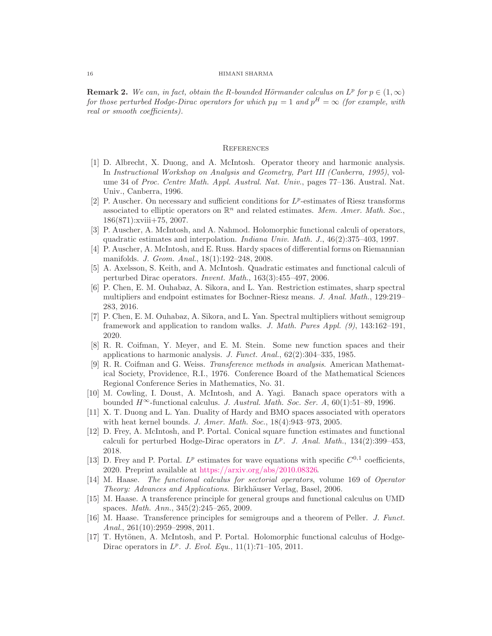**Remark 2.** We can, in fact, obtain the R-bounded Hörmander calculus on  $L^p$  for  $p \in (1,\infty)$ for those perturbed Hodge-Dirac operators for which  $p_H = 1$  and  $p^H = \infty$  (for example, with real or smooth coefficients).

#### **REFERENCES**

- <span id="page-15-10"></span>[1] D. Albrecht, X. Duong, and A. McIntosh. Operator theory and harmonic analysis. In Instructional Workshop on Analysis and Geometry, Part III (Canberra, 1995), volume 34 of Proc. Centre Math. Appl. Austral. Nat. Univ., pages 77–136. Austral. Nat. Univ., Canberra, 1996.
- <span id="page-15-12"></span>[2] P. Auscher. On necessary and sufficient conditions for  $L^p$ -estimates of Riesz transforms associated to elliptic operators on  $\mathbb{R}^n$  and related estimates. *Mem. Amer. Math. Soc.*, 186(871):xviii+75, 2007.
- <span id="page-15-8"></span>[3] P. Auscher, A. McIntosh, and A. Nahmod. Holomorphic functional calculi of operators, quadratic estimates and interpolation. Indiana Univ. Math. J., 46(2):375–403, 1997.
- <span id="page-15-14"></span>[4] P. Auscher, A. McIntosh, and E. Russ. Hardy spaces of differential forms on Riemannian manifolds. J. Geom. Anal., 18(1):192–248, 2008.
- <span id="page-15-5"></span>[5] A. Axelsson, S. Keith, and A. McIntosh. Quadratic estimates and functional calculi of perturbed Dirac operators. Invent. Math., 163(3):455–497, 2006.
- <span id="page-15-3"></span>[6] P. Chen, E. M. Ouhabaz, A. Sikora, and L. Yan. Restriction estimates, sharp spectral multipliers and endpoint estimates for Bochner-Riesz means. J. Anal. Math., 129:219– 283, 2016.
- <span id="page-15-4"></span>[7] P. Chen, E. M. Ouhabaz, A. Sikora, and L. Yan. Spectral multipliers without semigroup framework and application to random walks. J. Math. Pures Appl. (9), 143:162–191, 2020.
- <span id="page-15-13"></span>[8] R. R. Coifman, Y. Meyer, and E. M. Stein. Some new function spaces and their applications to harmonic analysis. J. Funct. Anal., 62(2):304–335, 1985.
- <span id="page-15-0"></span>[9] R. R. Coifman and G. Weiss. Transference methods in analysis. American Mathematical Society, Providence, R.I., 1976. Conference Board of the Mathematical Sciences Regional Conference Series in Mathematics, No. 31.
- <span id="page-15-9"></span>[10] M. Cowling, I. Doust, A. McIntosh, and A. Yagi. Banach space operators with a bounded  $H^{\infty}$ -functional calculus. J. Austral. Math. Soc. Ser. A, 60(1):51–89, 1996.
- <span id="page-15-15"></span>[11] X. T. Duong and L. Yan. Duality of Hardy and BMO spaces associated with operators with heat kernel bounds. J. Amer. Math. Soc.,  $18(4):943-973$ , 2005.
- <span id="page-15-7"></span>[12] D. Frey, A. McIntosh, and P. Portal. Conical square function estimates and functional calculi for perturbed Hodge-Dirac operators in  $L^p$ . J. Anal. Math., 134(2):399-453, 2018.
- <span id="page-15-6"></span>[13] D. Frey and P. Portal.  $L^p$  estimates for wave equations with specific  $C^{0,1}$  coefficients, 2020. Preprint available at [https://arxiv.org/abs/2010.08326.](https://arxiv.org/abs/2010.08326)
- <span id="page-15-11"></span>[14] M. Haase. The functional calculus for sectorial operators, volume 169 of Operator Theory: Advances and Applications. Birkhäuser Verlag, Basel, 2006.
- <span id="page-15-1"></span>[15] M. Haase. A transference principle for general groups and functional calculus on UMD spaces. Math. Ann., 345(2):245–265, 2009.
- <span id="page-15-2"></span>[16] M. Haase. Transference principles for semigroups and a theorem of Peller. J. Funct. Anal., 261(10):2959–2998, 2011.
- <span id="page-15-16"></span>[17] T. Hytönen, A. McIntosh, and P. Portal. Holomorphic functional calculus of Hodge-Dirac operators in  $L^p$ . J. Evol. Equ., 11(1):71-105, 2011.